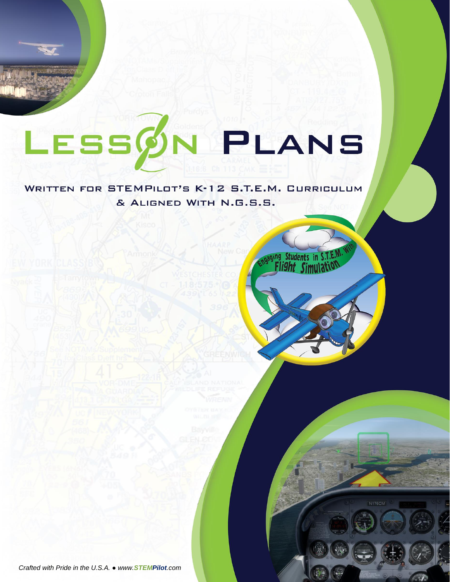# LESSØN PLANS

**WRITTEN FOR STEMPILOT'S K-12 S.T.E.M. CURRICULUM** & ALIGNED WITH N.G.S.S.

> aging Students in S ight Sin

> > N<sub>176</sub>CM

*Crafted with Pride in the U.S.A. ● www.STEMPilot.com*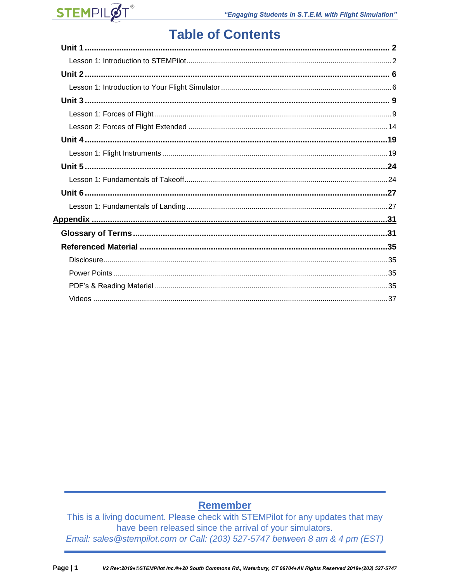

## **Table of Contents**

## Remember

This is a living document. Please check with STEMPilot for any updates that may have been released since the arrival of your simulators. Email: sales @stempilot.com or Call: (203) 527-5747 between 8 am & 4 pm (EST)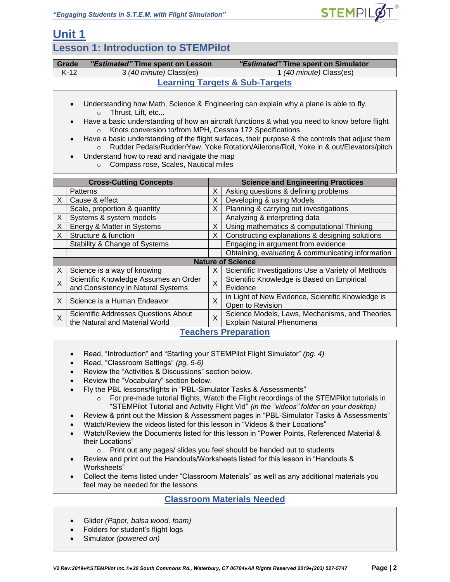

## **Unit 1**

### **Lesson 1: Introduction to STEMPilot**

| Grade                                     | "Estimated" Time spent on Lesson | "Estimated" Time spent on Simulator |  |  |
|-------------------------------------------|----------------------------------|-------------------------------------|--|--|
| $K-12$                                    | 3 (40 minute) Class(es)          | 1 (40 minute) Class(es)             |  |  |
| <b>Learning Targets &amp; Sub-Targets</b> |                                  |                                     |  |  |

- Understanding how Math, Science & Engineering can explain why a plane is able to fly. o Thrust, Lift, etc...
- Have a basic understanding of how an aircraft functions & what you need to know before flight o Knots conversion to/from MPH, Cessna 172 Specifications
- Have a basic understanding of the flight surfaces, their purpose & the controls that adjust them o Rudder Pedals/Rudder/Yaw, Yoke Rotation/Ailerons/Roll, Yoke in & out/Elevators/pitch
- Understand how to read and navigate the map
	- o Compass rose, Scales, Nautical miles

| <b>Cross-Cutting Concepts</b>                                               |                                                                             |                                | <b>Science and Engineering Practices</b>           |  |  |
|-----------------------------------------------------------------------------|-----------------------------------------------------------------------------|--------------------------------|----------------------------------------------------|--|--|
|                                                                             | <b>Patterns</b>                                                             | X                              | Asking questions & defining problems               |  |  |
| X                                                                           | Cause & effect                                                              | Developing & using Models<br>X |                                                    |  |  |
| Planning & carrying out investigations<br>Scale, proportion & quantity<br>X |                                                                             |                                |                                                    |  |  |
| X                                                                           | Systems & system models                                                     |                                | Analyzing & interpreting data                      |  |  |
| X                                                                           | Energy & Matter in Systems                                                  | X                              | Using mathematics & computational Thinking         |  |  |
| X                                                                           | Structure & function                                                        | X                              | Constructing explanations & designing solutions    |  |  |
|                                                                             | Stability & Change of Systems                                               |                                | Engaging in argument from evidence                 |  |  |
|                                                                             |                                                                             |                                | Obtaining, evaluating & communicating information  |  |  |
|                                                                             | <b>Nature of Science</b>                                                    |                                |                                                    |  |  |
| X                                                                           | Science is a way of knowing                                                 | X                              | Scientific Investigations Use a Variety of Methods |  |  |
| X                                                                           | Scientific Knowledge Assumes an Order                                       | X                              | Scientific Knowledge is Based on Empirical         |  |  |
|                                                                             | and Consistency in Natural Systems                                          |                                | Evidence                                           |  |  |
| X                                                                           | Science is a Human Endeavor                                                 | X                              | in Light of New Evidence, Scientific Knowledge is  |  |  |
|                                                                             |                                                                             |                                | Open to Revision                                   |  |  |
| X                                                                           | Scientific Addresses Questions About<br>X<br>the Natural and Material World |                                | Science Models, Laws, Mechanisms, and Theories     |  |  |
|                                                                             |                                                                             |                                | Explain Natural Phenomena                          |  |  |
|                                                                             | <b>Teachers Preparation</b>                                                 |                                |                                                    |  |  |

- Read, "Introduction" and "Starting your STEMPilot Flight Simulator" *(pg. 4)*
- Read, "Classroom Settings" *(pg. 5-6)*
- Review the "Activities & Discussions" section below.
- Review the "Vocabulary" section below.
- Fly the PBL lessons/flights in "PBL-Simulator Tasks & Assessments"
	- $\circ$  For pre-made tutorial flights, Watch the Flight recordings of the STEMPilot tutorials in "STEMPilot Tutorial and Activity Flight Vid" *(in the "videos" folder on your desktop)*
- Review & print out the Mission & Assessment pages in "PBL-Simulator Tasks & Assessments"
- Watch/Review the videos listed for this lesson in "Videos & their Locations"
- Watch/Review the Documents listed for this lesson in "Power Points, Referenced Material & their Locations"
	- $\circ$  Print out any pages/ slides you feel should be handed out to students
- Review and print out the Handouts/Worksheets listed for this lesson in "Handouts & Worksheets"
- Collect the items listed under "Classroom Materials" as well as any additional materials you feel may be needed for the lessons

#### **Classroom Materials Needed**

- Glider *(Paper, balsa wood, foam)*
- Folders for student's flight logs
- Simulator *(powered on)*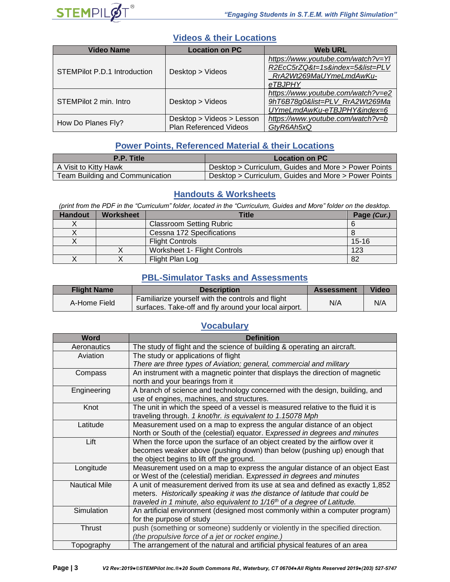

#### **Videos & their Locations**

| <b>Video Name</b>            | <b>Location on PC</b>                                      | <b>Web URL</b>                                                                                              |
|------------------------------|------------------------------------------------------------|-------------------------------------------------------------------------------------------------------------|
| STEMPilot P.D.1 Introduction | Desktop > Videos                                           | https://www.youtube.com/watch?v=Yl<br>R2EcC5rZQ&t=1s&index=5&list=PLV<br>RrA2Wt269MaUYmeLmdAwKu-<br>eTBJPHY |
| STEMPilot 2 min. Intro       | Desktop > Videos                                           | https://www.youtube.com/watch?v=e2<br>9hT6B78g0&list=PLV RrA2Wt269Ma<br>UYmeLmdAwKu-eTBJPHY&index=6         |
| How Do Planes Fly?           | Desktop > Videos > Lesson<br><b>Plan Referenced Videos</b> | https://www.youtube.com/watch?v=b<br>GtyR6Ah5xQ                                                             |

#### **Power Points, Referenced Material & their Locations**

| P.P. Title                      | <b>Location on PC</b>                                |  |
|---------------------------------|------------------------------------------------------|--|
| A Visit to Kitty Hawk           | Desktop > Curriculum, Guides and More > Power Points |  |
| Team Building and Communication | Desktop > Curriculum, Guides and More > Power Points |  |

#### **Handouts & Worksheets**

*(print from the PDF in the "Curriculum" folder, located in the "Curriculum, Guides and More" folder on the desktop.*

| <b>Handout</b> | <b>Worksheet</b> | Title                           | Page (Cur.) |
|----------------|------------------|---------------------------------|-------------|
|                |                  | <b>Classroom Setting Rubric</b> |             |
|                |                  | Cessna 172 Specifications       |             |
|                |                  | <b>Flight Controls</b>          | $15 - 16$   |
|                |                  | Worksheet 1- Flight Controls    | 123         |
|                |                  | Flight Plan Log                 | 82          |

#### **PBL-Simulator Tasks and Assessments**

| <b>Flight Name</b> | <b>Description</b>                                                                                         | <b>Assessment</b> | <b>Video</b> |
|--------------------|------------------------------------------------------------------------------------------------------------|-------------------|--------------|
| A-Home Field       | Familiarize yourself with the controls and flight<br>surfaces. Take-off and fly around your local airport. | N/A               | N/A          |

#### **Vocabulary**

| <b>Word</b>          | <b>Definition</b>                                                                    |
|----------------------|--------------------------------------------------------------------------------------|
| Aeronautics          | The study of flight and the science of building & operating an aircraft.             |
| Aviation             | The study or applications of flight                                                  |
|                      | There are three types of Aviation; general, commercial and military                  |
| Compass              | An instrument with a magnetic pointer that displays the direction of magnetic        |
|                      | north and your bearings from it                                                      |
| Engineering          | A branch of science and technology concerned with the design, building, and          |
|                      | use of engines, machines, and structures.                                            |
| Knot                 | The unit in which the speed of a vessel is measured relative to the fluid it is      |
|                      | traveling through. 1 knot/hr. is equivalent to 1.15078 Mph                           |
| Latitude             | Measurement used on a map to express the angular distance of an object               |
|                      | North or South of the (celestial) equator. Expressed in degrees and minutes          |
| Lift                 | When the force upon the surface of an object created by the airflow over it          |
|                      | becomes weaker above (pushing down) than below (pushing up) enough that              |
|                      | the object begins to lift off the ground.                                            |
| Longitude            | Measurement used on a map to express the angular distance of an object East          |
|                      | or West of the (celestial) meridian. Expressed in degrees and minutes                |
| <b>Nautical Mile</b> | A unit of measurement derived from its use at sea and defined as exactly 1,852       |
|                      | meters. Historically speaking it was the distance of latitude that could be          |
|                      | traveled in 1 minute, also equivalent to 1/16 <sup>th</sup> of a degree of Latitude. |
| Simulation           | An artificial environment (designed most commonly within a computer program)         |
|                      | for the purpose of study                                                             |
| Thrust               | push (something or someone) suddenly or violently in the specified direction.        |
|                      | (the propulsive force of a jet or rocket engine.)                                    |
| Topography           | The arrangement of the natural and artificial physical features of an area           |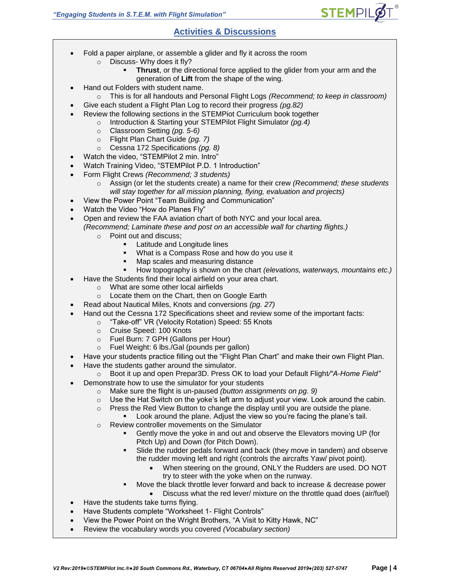#### **Activities & Discussions**

- Fold a paper airplane, or assemble a glider and fly it across the room
	- o Discuss- Why does it fly?
		- **Thrust**, or the directional force applied to the glider from your arm and the generation of **Lift** from the shape of the wing.

**STEMPI** 

- Hand out Folders with student name.
	- o This is for all handouts and Personal Flight Logs *(Recommend; to keep in classroom)*
	- Give each student a Flight Plan Log to record their progress *(pg.82)*
- Review the following sections in the STEMPiot Curriculum book together
	- o Introduction & Starting your STEMPilot Flight Simulator *(pg.4)*
		- o Classroom Setting *(pg. 5-6)*
		- o Flight Plan Chart Guide *(pg. 7)*
		- o Cessna 172 Specifications *(pg. 8)*
- Watch the video, "STEMPilot 2 min. Intro"
- Watch Training Video, "STEMPilot P.D. 1 Introduction"
- Form Flight Crews *(Recommend; 3 students)* 
	- o Assign (or let the students create) a name for their crew *(Recommend; these students will stay together for all mission planning, flying, evaluation and projects)*
- View the Power Point "Team Building and Communication"
- Watch the Video "How do Planes Fly"
- Open and review the FAA aviation chart of both NYC and your local area. *(Recommend; Laminate these and post on an accessible wall for charting flights.)*
	- o Point out and discuss;
		- Latitude and Longitude lines
		- What is a Compass Rose and how do you use it
		- Map scales and measuring distance
		- How topography is shown on the chart *(elevations, waterways, mountains etc.)*
- Have the Students find their local airfield on your area chart.
	- o What are some other local airfields
		- o Locate them on the Chart, then on Google Earth
- Read about Nautical Miles, Knots and conversions *(pg. 27)*
	- Hand out the Cessna 172 Specifications sheet and review some of the important facts:
		- o "Take-off" VR (Velocity Rotation) Speed: 55 Knots
		- o Cruise Speed: 100 Knots
		- o Fuel Burn: 7 GPH (Gallons per Hour)
		- o Fuel Weight: 6 lbs./Gal (pounds per gallon)
- Have your students practice filling out the "Flight Plan Chart" and make their own Flight Plan.
- Have the students gather around the simulator.
- o Boot it up and open Prepar3D. Press OK to load your Default Flight*/"A-Home Field"*
- Demonstrate how to use the simulator for your students
	- o Make sure the flight is un-paused *(button assignments on pg. 9)*
	- $\circ$  Use the Hat Switch on the yoke's left arm to adjust your view. Look around the cabin.
	- o Press the Red View Button to change the display until you are outside the plane.
		- Look around the plane. Adjust the view so you're facing the plane's tail.
	- o Review controller movements on the Simulator
		- **•** Gently move the yoke in and out and observe the Elevators moving UP (for Pitch Up) and Down (for Pitch Down).
		- Slide the rudder pedals forward and back (they move in tandem) and observe the rudder moving left and right (controls the aircrafts Yaw/ pivot point).
			- When steering on the ground, ONLY the Rudders are used. DO NOT try to steer with the yoke when on the runway.
		- Move the black throttle lever forward and back to increase & decrease power
	- Discuss what the red lever/ mixture on the throttle quad does (air/fuel) • Have the students take turns flying.
- 
- Have Students complete "Worksheet 1- Flight Controls"
- View the Power Point on the Wright Brothers, "A Visit to Kitty Hawk, NC"
- Review the vocabulary words you covered *(Vocabulary section)*